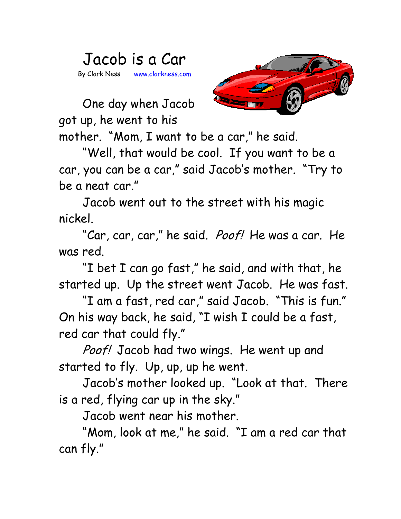## Jacob is a Car By Clark Ness www.clarkness.com



One day when Jacob got up, he went to his

mother. "Mom, I want to be a car," he said.

"Well, that would be cool. If you want to be a car, you can be a car," said Jacob's mother. "Try to be a neat car."

Jacob went out to the street with his magic nickel.

"Car, car, car," he said. *Poof!* He was a car. He was red.

"I bet I can go fast," he said, and with that, he started up. Up the street went Jacob. He was fast.

"I am a fast, red car," said Jacob. "This is fun." On his way back, he said, "I wish I could be a fast, red car that could fly."

Poof! Jacob had two wings. He went up and started to fly. Up, up, up he went.

Jacob's mother looked up. "Look at that. There is a red, flying car up in the sky."

Jacob went near his mother.

"Mom, look at me," he said. "I am a red car that can fly."